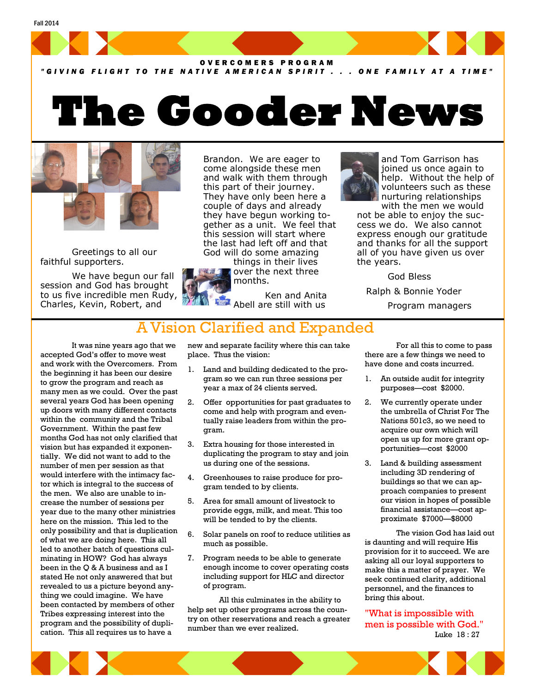

*" G I V I N G F L I G H T T O T H E N A T I V E A M E R I C A N S P I R I T . . . O N E F A M I L Y A T A T I M E "*

# **The Gooder News**



Greetings to all our faithful supporters.

We have begun our fall session and God has brought to us five incredible men Rudy, Charles, Kevin, Robert, and

Brandon. We are eager to come alongside these men and walk with them through this part of their journey. They have only been here a couple of days and already they have begun working together as a unit. We feel that this session will start where the last had left off and that God will do some amazing

things in their lives over the next three months.

Ken and Anita Abell are still with us



and Tom Garrison has joined us once again to help. Without the help of volunteers such as these nurturing relationships

with the men we would not be able to enjoy the success we do. We also cannot express enough our gratitude and thanks for all the support all of you have given us over the years.

God Bless

Ralph & Bonnie Yoder

Program managers

## A Vision Clarified and Expanded

It was nine years ago that we accepted God's offer to move west and work with the Overcomers. From the beginning it has been our desire to grow the program and reach as many men as we could. Over the past several years God has been opening up doors with many different contacts within the community and the Tribal Government. Within the past few months God has not only clarified that vision but has expanded it exponentially. We did not want to add to the number of men per session as that would interfere with the intimacy factor which is integral to the success of the men. We also are unable to increase the number of sessions per year due to the many other ministries here on the mission. This led to the only possibility and that is duplication of what we are doing here. This all led to another batch of questions culminating in HOW? God has always been in the Q & A business and as I stated He not only answered that but revealed to us a picture beyond anything we could imagine. We have been contacted by members of other Tribes expressing interest into the program and the possibility of duplication. This all requires us to have a

new and separate facility where this can take place. Thus the vision:

- 1. Land and building dedicated to the program so we can run three sessions per year a max of 24 clients served.
- 2. Offer opportunities for past graduates to come and help with program and eventually raise leaders from within the program.
- 3. Extra housing for those interested in duplicating the program to stay and join us during one of the sessions.
- 4. Greenhouses to raise produce for program tended to by clients.
- 5. Area for small amount of livestock to provide eggs, milk, and meat. This too will be tended to by the clients.
- 6. Solar panels on roof to reduce utilities as much as possible.
- 7. Program needs to be able to generate enough income to cover operating costs including support for HLC and director of program.

All this culminates in the ability to help set up other programs across the country on other reservations and reach a greater number than we ever realized.

For all this to come to pass there are a few things we need to have done and costs incurred.

- 1. An outside audit for integrity purposes—cost \$2000.
- 2. We currently operate under the umbrella of Christ For The Nations 501c3, so we need to acquire our own which will open us up for more grant opportunities—cost \$2000
- 3. Land & building assessment including 3D rendering of buildings so that we can approach companies to present our vision in hopes of possible financial assistance—cost approximate \$7000—\$8000

The vision God has laid out is daunting and will require His provision for it to succeed. We are asking all our loyal supporters to make this a matter of prayer. We seek continued clarity, additional personnel, and the finances to bring this about.

"What is impossible with men is possible with God." Luke 18 : 27